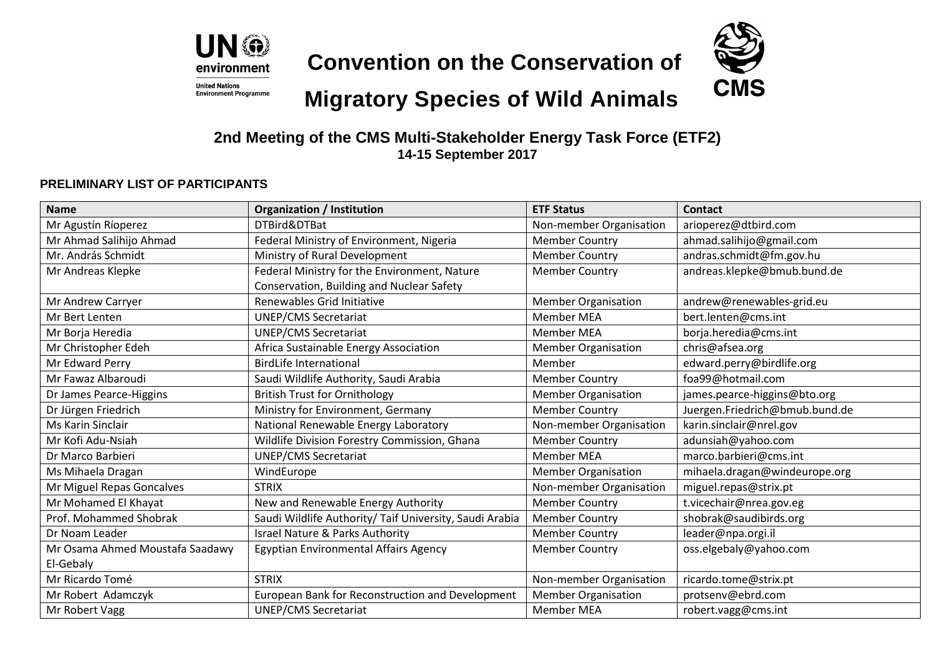

**Convention on the Conservation of**



## **Migratory Species of Wild Animals**

**2nd Meeting of the CMS Multi-Stakeholder Energy Task Force (ETF2) 14-15 September 2017**

## **PRELIMINARY LIST OF PARTICIPANTS**

| <b>Name</b>                     | <b>Organization / Institution</b>                       | <b>ETF Status</b>          | <b>Contact</b>                 |
|---------------------------------|---------------------------------------------------------|----------------------------|--------------------------------|
| Mr Agustín Ríoperez             | DTBird&DTBat                                            | Non-member Organisation    | arioperez@dtbird.com           |
| Mr Ahmad Salihijo Ahmad         | Federal Ministry of Environment, Nigeria                | <b>Member Country</b>      | ahmad.salihijo@gmail.com       |
| Mr. András Schmidt              | Ministry of Rural Development                           | <b>Member Country</b>      | andras.schmidt@fm.gov.hu       |
| Mr Andreas Klepke               | Federal Ministry for the Environment, Nature            | <b>Member Country</b>      | andreas.klepke@bmub.bund.de    |
|                                 | Conservation, Building and Nuclear Safety               |                            |                                |
| Mr Andrew Carryer               | Renewables Grid Initiative                              | <b>Member Organisation</b> | andrew@renewables-grid.eu      |
| Mr Bert Lenten                  | <b>UNEP/CMS Secretariat</b>                             | <b>Member MEA</b>          | bert.lenten@cms.int            |
| Mr Borja Heredia                | <b>UNEP/CMS Secretariat</b>                             | <b>Member MEA</b>          | borja.heredia@cms.int          |
| Mr Christopher Edeh             | Africa Sustainable Energy Association                   | <b>Member Organisation</b> | chris@afsea.org                |
| Mr Edward Perry                 | <b>BirdLife International</b>                           | Member                     | edward.perry@birdlife.org      |
| Mr Fawaz Albaroudi              | Saudi Wildlife Authority, Saudi Arabia                  | <b>Member Country</b>      | foa99@hotmail.com              |
| Dr James Pearce-Higgins         | <b>British Trust for Ornithology</b>                    | <b>Member Organisation</b> | james.pearce-higgins@bto.org   |
| Dr Jürgen Friedrich             | Ministry for Environment, Germany                       | <b>Member Country</b>      | Juergen.Friedrich@bmub.bund.de |
| <b>Ms Karin Sinclair</b>        | National Renewable Energy Laboratory                    | Non-member Organisation    | karin.sinclair@nrel.gov        |
| Mr Kofi Adu-Nsiah               | Wildlife Division Forestry Commission, Ghana            | <b>Member Country</b>      | adunsiah@yahoo.com             |
| Dr Marco Barbieri               | <b>UNEP/CMS Secretariat</b>                             | <b>Member MEA</b>          | marco.barbieri@cms.int         |
| Ms Mihaela Dragan               | WindEurope                                              | <b>Member Organisation</b> | mihaela.dragan@windeurope.org  |
| Mr Miguel Repas Goncalves       | <b>STRIX</b>                                            | Non-member Organisation    | miguel.repas@strix.pt          |
| Mr Mohamed El Khayat            | New and Renewable Energy Authority                      | <b>Member Country</b>      | t.vicechair@nrea.gov.eg        |
| Prof. Mohammed Shobrak          | Saudi Wildlife Authority/ Taif University, Saudi Arabia | <b>Member Country</b>      | shobrak@saudibirds.org         |
| Dr Noam Leader                  | Israel Nature & Parks Authority                         | <b>Member Country</b>      | leader@npa.orgi.il             |
| Mr Osama Ahmed Moustafa Saadawy | Egyptian Environmental Affairs Agency                   | <b>Member Country</b>      | oss.elgebaly@yahoo.com         |
| El-Gebaly                       |                                                         |                            |                                |
| Mr Ricardo Tomé                 | <b>STRIX</b>                                            | Non-member Organisation    | ricardo.tome@strix.pt          |
| Mr Robert Adamczyk              | European Bank for Reconstruction and Development        | <b>Member Organisation</b> | protsenv@ebrd.com              |
| Mr Robert Vagg                  | <b>UNEP/CMS Secretariat</b>                             | <b>Member MEA</b>          | robert.vagg@cms.int            |